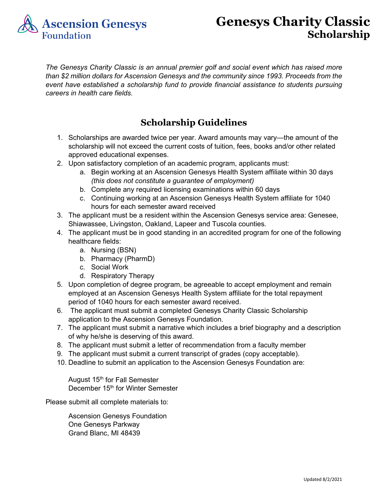

## **Genesys Charity Classic Scholarship**

*The Genesys Charity Classic is an annual premier golf and social event which has raised more than \$2 million dollars for Ascension Genesys and the community since 1993. Proceeds from the event have established a scholarship fund to provide financial assistance to students pursuing careers in health care fields.*

## **Scholarship Guidelines**

- 1. Scholarships are awarded twice per year. Award amounts may vary—the amount of the scholarship will not exceed the current costs of tuition, fees, books and/or other related approved educational expenses.
- 2. Upon satisfactory completion of an academic program, applicants must:
	- a. Begin working at an Ascension Genesys Health System affiliate within 30 days *(this does not constitute a guarantee of employment)*
	- b. Complete any required licensing examinations within 60 days
	- c. Continuing working at an Ascension Genesys Health System affiliate for 1040 hours for each semester award received
- 3. The applicant must be a resident within the Ascension Genesys service area: Genesee, Shiawassee, Livingston, Oakland, Lapeer and Tuscola counties.
- 4. The applicant must be in good standing in an accredited program for one of the following healthcare fields:
	- a. Nursing (BSN)
	- b. Pharmacy (PharmD)
	- c. Social Work
	- d. Respiratory Therapy
- 5. Upon completion of degree program, be agreeable to accept employment and remain employed at an Ascension Genesys Health System affiliate for the total repayment period of 1040 hours for each semester award received.
- 6. The applicant must submit a completed Genesys Charity Classic Scholarship application to the Ascension Genesys Foundation.
- 7. The applicant must submit a narrative which includes a brief biography and a description of why he/she is deserving of this award.
- 8. The applicant must submit a letter of recommendation from a faculty member
- 9. The applicant must submit a current transcript of grades (copy acceptable).
- 10. Deadline to submit an application to the Ascension Genesys Foundation are:

August  $15<sup>th</sup>$  for Fall Semester December 15<sup>th</sup> for Winter Semester

Please submit all complete materials to:

Ascension Genesys Foundation One Genesys Parkway Grand Blanc, MI 48439